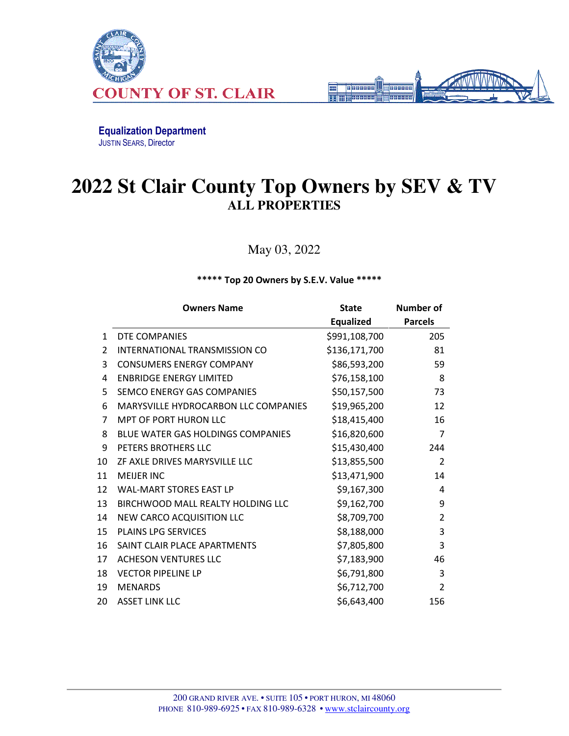



Equalization Department JUSTIN SEARS, Director

## **2022 St Clair County Top Owners by SEV & TV ALL PROPERTIES**

May 03, 2022

\*\*\*\*\* Top 20 Owners by S.E.V. Value \*\*\*\*\*

|    | <b>Owners Name</b>                   | <b>State</b>  | <b>Number of</b> |
|----|--------------------------------------|---------------|------------------|
|    |                                      | Equalized     | <b>Parcels</b>   |
| 1  | DTE COMPANIES                        | \$991,108,700 | 205              |
| 2  | INTERNATIONAL TRANSMISSION CO        | \$136,171,700 | 81               |
| 3  | <b>CONSUMERS ENERGY COMPANY</b>      | \$86,593,200  | 59               |
| 4  | <b>ENBRIDGE ENERGY LIMITED</b>       | \$76,158,100  | 8                |
| 5  | SEMCO ENERGY GAS COMPANIES           | \$50,157,500  | 73               |
| 6  | MARYSVILLE HYDROCARBON LLC COMPANIES | \$19,965,200  | 12               |
| 7  | <b>MPT OF PORT HURON LLC</b>         | \$18,415,400  | 16               |
| 8  | BLUE WATER GAS HOLDINGS COMPANIES    | \$16,820,600  | 7                |
| 9  | PETERS BROTHERS LLC                  | \$15,430,400  | 244              |
| 10 | ZF AXLE DRIVES MARYSVILLE LLC        | \$13,855,500  | $\overline{2}$   |
| 11 | <b>MEIJER INC</b>                    | \$13,471,900  | 14               |
| 12 | <b>WAL-MART STORES EAST LP</b>       | \$9,167,300   | 4                |
| 13 | BIRCHWOOD MALL REALTY HOLDING LLC    | \$9,162,700   | 9                |
| 14 | NEW CARCO ACQUISITION LLC            | \$8,709,700   | $\overline{2}$   |
| 15 | <b>PLAINS LPG SERVICES</b>           | \$8,188,000   | 3                |
| 16 | SAINT CLAIR PLACE APARTMENTS         | \$7,805,800   | 3                |
| 17 | <b>ACHESON VENTURES LLC</b>          | \$7,183,900   | 46               |
| 18 | <b>VECTOR PIPELINE LP</b>            | \$6,791,800   | 3                |
| 19 | <b>MENARDS</b>                       | \$6,712,700   | $\overline{2}$   |
| 20 | <b>ASSET LINK LLC</b>                | \$6,643,400   | 156              |